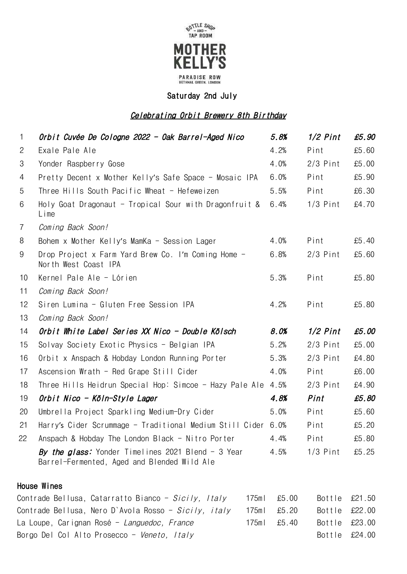

Saturday 2nd July

### Celebrating Orbit Brewery 8th Birthday

| $\mathbf{1}$   | Orbit Cuvée De Cologne 2022 - Oak Barrel-Aged Nico                                                | 5.8% | $1/2$ Pint | £5.90 |
|----------------|---------------------------------------------------------------------------------------------------|------|------------|-------|
| $\overline{2}$ | Exale Pale Ale                                                                                    | 4.2% | Pint       | £5.60 |
| 3              | Yonder Raspberry Gose                                                                             | 4.0% | $2/3$ Pint | £5.00 |
| 4              | Pretty Decent x Mother Kelly's Safe Space - Mosaic IPA                                            | 6.0% | Pint       | £5.90 |
| 5              | Three Hills South Pacific Wheat - Hefeweizen                                                      | 5.5% | Pint       | £6.30 |
| 6              | Holy Goat Dragonaut - Tropical Sour with Dragonfruit $\&$<br>Lime                                 | 6.4% | $1/3$ Pint | £4.70 |
| $\overline{7}$ | Coming Back Soon!                                                                                 |      |            |       |
| 8              | Bohem x Mother Kelly's MamKa - Session Lager                                                      | 4.0% | Pint       | £5.40 |
| 9              | Drop Project x Farm Yard Brew Co. I'm Coming Home -<br>North West Coast IPA                       | 6.8% | $2/3$ Pint | £5.60 |
| 10             | Kernel Pale Ale - Lórien                                                                          | 5.3% | Pint       | £5.80 |
| 11             | Coming Back Soon!                                                                                 |      |            |       |
| 12             | Siren Lumina - Gluten Free Session IPA                                                            | 4.2% | Pint       | £5.80 |
| 13             | Coming Back Soon!                                                                                 |      |            |       |
| 14             | Orbit White Label Series XX Nico - Double Kölsch                                                  | 8.0% | $1/2$ Pint | £5.00 |
| 15             | Solvay Society Exotic Physics - Belgian IPA                                                       | 5.2% | $2/3$ Pint | £5.00 |
| 16             | Orbit x Anspach & Hobday London Running Porter                                                    | 5.3% | $2/3$ Pint | £4.80 |
| 17             | Ascension Wrath - Red Grape Still Cider                                                           | 4.0% | Pint       | £6.00 |
| 18             | Three Hills Heidrun Special Hop: Simcoe - Hazy Pale Ale                                           | 4.5% | $2/3$ Pint | £4.90 |
| 19             | Orbit Nico - Köln-Style Lager                                                                     | 4.8% | Pint       | £5.80 |
| 20             | Umbrella Project Sparkling Medium-Dry Cider                                                       | 5.0% | Pint       | £5.60 |
| 21             | Harry's Cider Scrummage - Traditional Medium Still Cider                                          | 6.0% | Pint       | £5.20 |
| 22             | Anspach & Hobday The London Black - Nitro Porter                                                  | 4.4% | Pint       | £5.80 |
|                | By the glass: Yonder Timelines 2021 Blend - 3 Year<br>Barrel-Fermented, Aged and Blended Wild Ale | 4.5% | $1/3$ Pint | £5.25 |
|                |                                                                                                   |      |            |       |

### House Wines

| Contrade Bellusa, Catarratto Bianco - Sicily, Italy         | 175ml £5.00 | Bottle £21.50                |  |
|-------------------------------------------------------------|-------------|------------------------------|--|
| Contrade Bellusa, Nero D`Avola Rosso - <i>Sicily, italy</i> | 175ml £5.20 | Bottle £22.00                |  |
| La Loupe, Carignan Rosé - <i>Languedoc, France</i>          | 175ml £5.40 | Bottle £23.00                |  |
| Borgo Del Col Alto Prosecco - <i>Veneto, Italy</i>          |             | Bottle $\text{\pounds}24.00$ |  |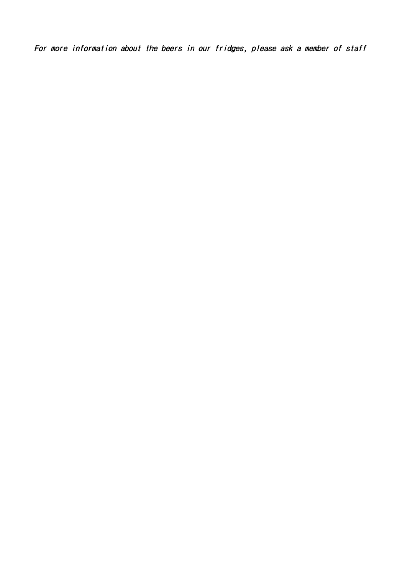For more information about the beers in our fridges, please ask a member of staff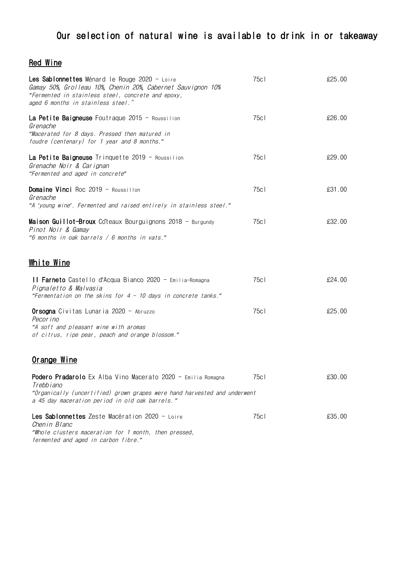## Our selection of natural wine is available to drink in or takeaway

### Red Wine

| <b>Les Sablonnettes</b> Ménard le Rouge 2020 - Loire<br>Gamay 50%, Grolleau 10%, Chenin 20%, Cabernet Sauvignon 10%<br>"Fermented in stainless steel, concrete and epoxy,<br>aged 6 months in stainless steel." | 75c | £25.00 |
|-----------------------------------------------------------------------------------------------------------------------------------------------------------------------------------------------------------------|-----|--------|
| La Petite Baigneuse Foutraque 2015 - Roussilion<br>Grenache<br>"Macerated for 8 days. Pressed then matured in<br>foudre (centenary) for 1 year and 8 months."                                                   | 75c | £26.00 |
| <b>La Petite Baigneuse</b> Trinquette 2019 - Roussilion<br>Grenache Noir & Carignan<br>"Fermented and aged in concrete"                                                                                         | 75c | £29.00 |
| <b>Domaine Vinci</b> Roc 2019 - Roussillon<br>Grenache<br>"A 'young wine'. Fermented and raised entirely in stainless steel."                                                                                   | 75c | £31.00 |
| <b>Maison Guillot-Broux</b> Coteaux Bourguignons 2018 - Burgundy<br>Pinot Noir & Gamay<br>"6 months in oak barrels / 6 months in vats."                                                                         | 75c | £32.00 |
| <u>White Wine</u>                                                                                                                                                                                               |     |        |
| Il Farneto Castello d'Acqua Bianco 2020 - Emilia-Romagna<br>Pignaletto & Malvasia<br>"Fermentation on the skins for $4$ - 10 days in concrete tanks."                                                           | 75c | £24.00 |
| <b>Orsogna</b> Civitas Lunaria 2020 - Abruzzo<br>Pecor ino<br>"A soft and pleasant wine with aromas<br>of citrus, ripe pear, peach and orange blossom."                                                         | 75c | £25.00 |
| <u>Orange Wine</u>                                                                                                                                                                                              |     |        |
| Podero Pradarolo Ex Alba Vino Macerato 2020 - Emilia Romagna<br>Trebbiano<br>"Organically (uncertified) grown grapes were hand harvested and underwent<br>a 45 day maceration period in old oak barrels."       | 75c | £30.00 |
| Les Sablonnettes Zeste Macération 2020 - Loire<br>Chenin Blanc<br>"Whole clusters maceration for 1 month, then pressed,<br>fermented and aged in carbon fibre."                                                 | 75c | £35.00 |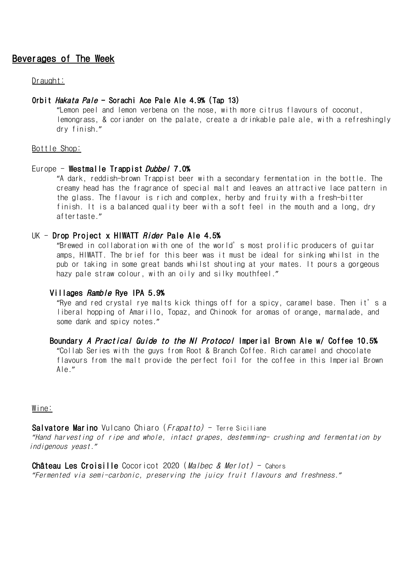### Beverages of The Week

#### Draught:

#### Orbit Hakata Pale - Sorachi Ace Pale Ale 4.9% (Tap 13)

"Lemon peel and lemon verbena on the nose, with more citrus flavours of coconut, lemongrass, & coriander on the palate, create a drinkable pale ale, with a refreshingly dry finish."

#### Bottle Shop:

#### Europe - Westmalle Trappist Dubbel 7.0%

"A dark, reddish-brown Trappist beer with a secondary fermentation in the bottle. The creamy head has the fragrance of special malt and leaves an attractive lace pattern in the glass. The flavour is rich and complex, herby and fruity with a fresh-bitter finish. It is a balanced quality beer with a soft feel in the mouth and a long, dry aftertaste."

#### UK - Drop Project x HIWATT *Rider* Pale Ale 4.5%

"Brewed in collaboration with one of the world's most prolific producers of guitar amps, HIWATT. The brief for this beer was it must be ideal for sinking whilst in the pub or taking in some great bands whilst shouting at your mates. It pours a gorgeous hazy pale straw colour, with an oily and silky mouthfeel."

#### Villages Ramble Rye IPA 5.9%

"Rye and red crystal rye malts kick things off for a spicy, caramel base. Then it's a liberal hopping of Amarillo, Topaz, and Chinook for aromas of orange, marmalade, and some dank and spicy notes."

# Boundary A Practical Guide to the NI Protocol Imperial Brown Ale w/ Coffee 10.5%

"Collab Series with the guys from Root & Branch Coffee. Rich caramel and chocolate flavours from the malt provide the perfect foil for the coffee in this Imperial Brown Ale."

#### Wine:

**Salvatore Marino** Vulcano Chiaro  $(Frapatto)$  - Terre Siciliane *"*Hand harvesting of ripe and whole, intact grapes, destemming- crushing and fermentation by indigenous yeast.*"*

Château Les Croisille Cocoricot 2020 (Malbec & Merlot) - Cahors *"*Fermented via semi-carbonic, preserving the juicy fruit flavours and freshness.*"*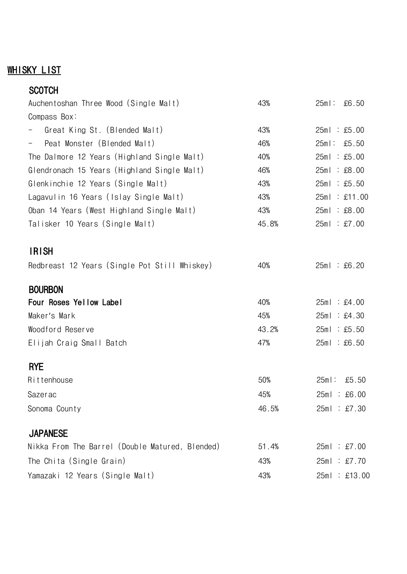## **WHISKY LIST**

| <b>SCOTCH</b>                                   |       |                  |
|-------------------------------------------------|-------|------------------|
| Auchentoshan Three Wood (Single Malt)           | 43%   | $25m$ :<br>£6.50 |
| Compass Box:                                    |       |                  |
| Great King St. (Blended Malt)                   | 43%   | 25ml : £5.00     |
| Peat Monster (Blended Malt)                     | 46%   | $25m$ :<br>£5.50 |
| The Dalmore 12 Years (Highland Single Malt)     | 40%   | 25ml : £5.00     |
| Glendronach 15 Years (Highland Single Malt)     | 46%   | 25ml : £8.00     |
| Glenkinchie 12 Years (Single Malt)              | 43%   | 25ml : £5.50     |
| Lagavulin 16 Years (Islay Single Malt)          | 43%   | 25ml : £11.00    |
| Oban 14 Years (West Highland Single Malt)       | 43%   | 25ml : £8.00     |
| Talisker 10 Years (Single Malt)                 | 45.8% | 25ml : £7.00     |
| <b>IRISH</b>                                    |       |                  |
| Redbreast 12 Years (Single Pot Still Whiskey)   | 40%   | 25ml : £6.20     |
| <b>BOURBON</b>                                  |       |                  |
| Four Roses Yellow Label                         | 40%   | 25ml : £4.00     |
| Maker's Mark                                    | 45%   | 25ml : £4.30     |
| Woodford Reserve                                | 43.2% | 25ml : £5.50     |
| Elijah Craig Small Batch                        | 47%   | 25ml : £6.50     |
| <b>RYE</b>                                      |       |                  |
| Rittenhouse                                     | 50%   | $25m$ :<br>£5.50 |
| Sazerac                                         | 45%   | 25ml : £6.00     |
| Sonoma County                                   | 46.5% | 25ml : £7.30     |
| <b>JAPANESE</b>                                 |       |                  |
| Nikka From The Barrel (Double Matured, Blended) | 51.4% | 25ml : £7.00     |
| The Chita (Single Grain)                        | 43%   | 25ml : £7.70     |
| Yamazaki 12 Years (Single Malt)                 | 43%   | 25ml : £13.00    |